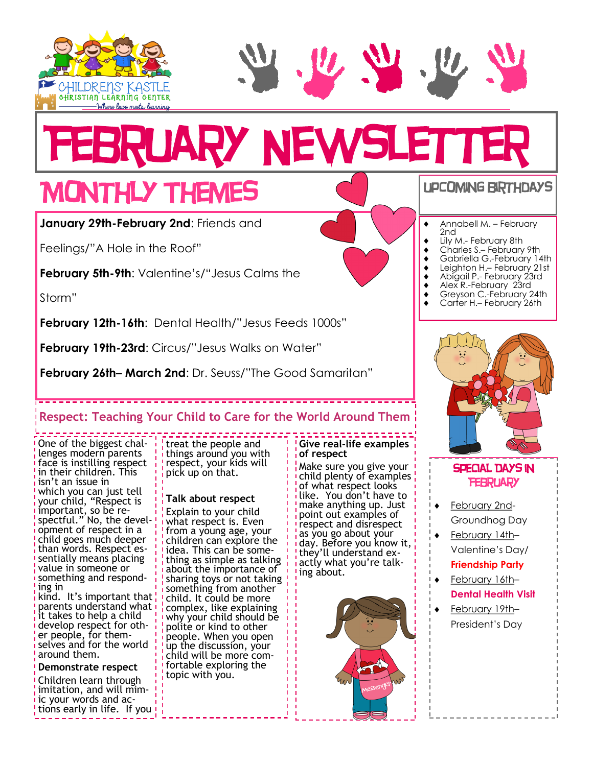



# **RUARY NEWSLETT**

## Monthly Themes

**January 29th-February 2nd**: Friends and

Feelings/"A Hole in the Roof"

**February 5th-9th**: Valentine's/"Jesus Calms the

Storm"

**February 12th-16th**: Dental Health/"Jesus Feeds 1000s"

**February 19th-23rd:** Circus/"Jesus Walks on Water"

**February 26th– March 2nd**: Dr. Seuss/"The Good Samaritan"

#### **Respect: Teaching Your Child to Care for the World Around Them**

One of the biggest challenges modern parents face is instilling respect in their children. This isn't an issue in which you can just tell your child, "Respect is important, so be respectful." No, the development of respect in a child goes much deeper than words. Respect essentially means placing value in someone or something and responding in

kind. It's important that parents understand what it takes to help a child develop respect for other people, for themselves and for the world around them.

#### **Demonstrate respect**

Children learn through imitation, and will mimic your words and actions early in life. If you

treat the people and things around you with respect, your kids will pick up on that.

#### **Talk about respect**

[Explain to your child](https://childdevelopmentinfo.com/parenting/teach-children-to-respect-by-treating-them-with-respect/)  [what respect is.](https://childdevelopmentinfo.com/parenting/teach-children-to-respect-by-treating-them-with-respect/) Even from a young age, your children can explore the idea. This can be something as simple as talking about the importance of sharing toys or not taking ! something from another child. It could be more complex, like explaining why your child should be polite or kind to other people. When you open up the discussion, your child will be more com**f** fortable exploring the topic with you.

#### **Give real-life examples of respect**

Make sure you give your child plenty of examples of what respect looks like. You don't have to make anything up. Just point out examples of respect and disrespect as you go about your day. Before you know it, they'll understand exactly what you're talking about.





- Annabell M. February 2nd
- Lily M.- February 8th
- Charles S.– February 9th
- Gabriella G.-February 14th Leighton H. – February 21st
- Abigail P.- February 23rd
- Alex R.-February 23rd
- ◆ Greyson C.-February 24th
- Carter H.– February 26th



#### SPECIAL DAYS IN **FEBRUARY**

- February 2nd-Groundhog Day
- February 14th– Valentine's Day/ **Friendship Party**
- February 16th– **Dental Health Visit**
- February 19th– President's Day